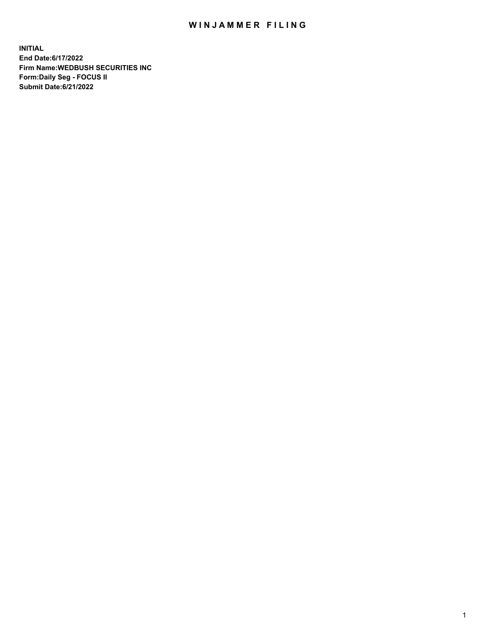## WIN JAMMER FILING

**INITIAL End Date:6/17/2022 Firm Name:WEDBUSH SECURITIES INC Form:Daily Seg - FOCUS II Submit Date:6/21/2022**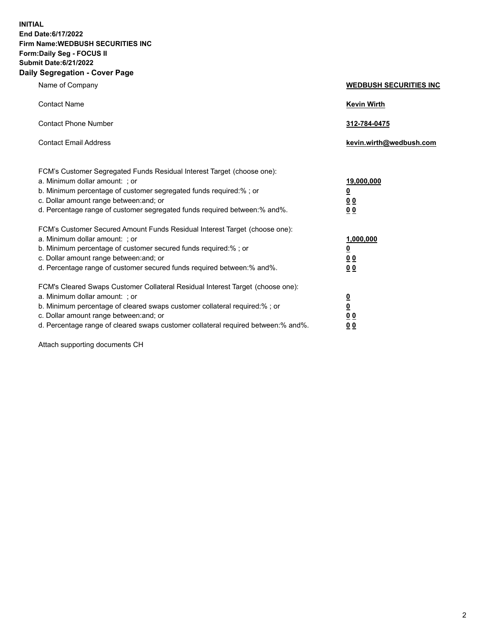**INITIAL End Date:6/17/2022 Firm Name:WEDBUSH SECURITIES INC Form:Daily Seg - FOCUS II Submit Date:6/21/2022 Daily Segregation - Cover Page**

| Name of Company                                                                                                                                                                                                                                                                                        | <b>WEDBUSH SECURITIES INC</b>                        |  |
|--------------------------------------------------------------------------------------------------------------------------------------------------------------------------------------------------------------------------------------------------------------------------------------------------------|------------------------------------------------------|--|
| <b>Contact Name</b>                                                                                                                                                                                                                                                                                    | <b>Kevin Wirth</b>                                   |  |
| <b>Contact Phone Number</b>                                                                                                                                                                                                                                                                            | 312-784-0475                                         |  |
| <b>Contact Email Address</b>                                                                                                                                                                                                                                                                           | kevin.wirth@wedbush.com                              |  |
| FCM's Customer Segregated Funds Residual Interest Target (choose one):<br>a. Minimum dollar amount: ; or<br>b. Minimum percentage of customer segregated funds required:% ; or<br>c. Dollar amount range between: and; or<br>d. Percentage range of customer segregated funds required between:% and%. | 19,000,000<br><u>0</u><br>00<br>0 <sub>0</sub>       |  |
| FCM's Customer Secured Amount Funds Residual Interest Target (choose one):<br>a. Minimum dollar amount: ; or<br>b. Minimum percentage of customer secured funds required:%; or<br>c. Dollar amount range between: and; or<br>d. Percentage range of customer secured funds required between: % and %.  | 1,000,000<br><u>0</u><br><u>00</u><br>0 <sub>0</sub> |  |
| FCM's Cleared Swaps Customer Collateral Residual Interest Target (choose one):<br>a. Minimum dollar amount: ; or<br>b. Minimum percentage of cleared swaps customer collateral required:%; or<br>c. Dollar amount range between: and; or                                                               | $\frac{0}{0}$<br>0 <sub>0</sub>                      |  |

d. Percentage range of cleared swaps customer collateral required between:% and%. **0 0**

Attach supporting documents CH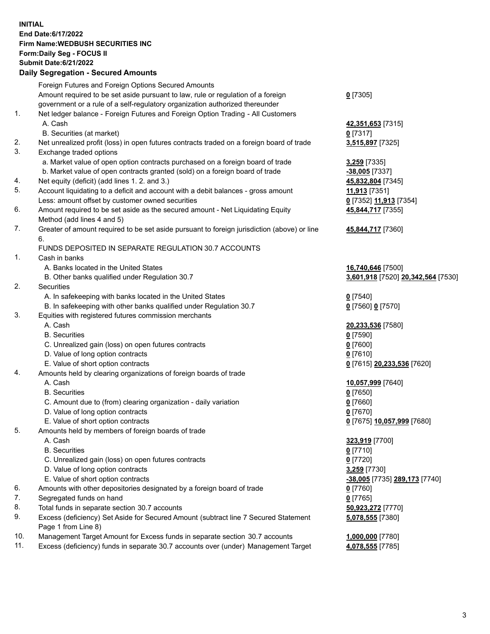**INITIAL End Date:6/17/2022 Firm Name:WEDBUSH SECURITIES INC Form:Daily Seg - FOCUS II Submit Date:6/21/2022 Daily Segregation - Secured Amounts**

|     | 2011, Ocgi ogation - Oceanea Anioanita                                                      |                                          |
|-----|---------------------------------------------------------------------------------------------|------------------------------------------|
|     | Foreign Futures and Foreign Options Secured Amounts                                         |                                          |
|     | Amount required to be set aside pursuant to law, rule or regulation of a foreign            | $0$ [7305]                               |
|     | government or a rule of a self-regulatory organization authorized thereunder                |                                          |
| 1.  | Net ledger balance - Foreign Futures and Foreign Option Trading - All Customers             |                                          |
|     | A. Cash                                                                                     | 42,351,653 [7315]                        |
|     | B. Securities (at market)                                                                   | $0$ [7317]                               |
| 2.  | Net unrealized profit (loss) in open futures contracts traded on a foreign board of trade   | 3,515,897 [7325]                         |
| 3.  | Exchange traded options                                                                     |                                          |
|     | a. Market value of open option contracts purchased on a foreign board of trade              | 3,259 [7335]                             |
|     | b. Market value of open contracts granted (sold) on a foreign board of trade                | -38,005 [7337]                           |
| 4.  | Net equity (deficit) (add lines 1. 2. and 3.)                                               | 45,832,804 [7345]                        |
| 5.  | Account liquidating to a deficit and account with a debit balances - gross amount           | 11,913 [7351]                            |
|     | Less: amount offset by customer owned securities                                            | 0 [7352] 11,913 [7354]                   |
| 6.  | Amount required to be set aside as the secured amount - Net Liquidating Equity              | 45,844,717 [7355]                        |
|     | Method (add lines 4 and 5)                                                                  |                                          |
| 7.  | Greater of amount required to be set aside pursuant to foreign jurisdiction (above) or line | 45,844,717 [7360]                        |
|     | 6.                                                                                          |                                          |
|     | FUNDS DEPOSITED IN SEPARATE REGULATION 30.7 ACCOUNTS                                        |                                          |
| 1.  | Cash in banks                                                                               |                                          |
|     | A. Banks located in the United States                                                       | 16,740,646 [7500]                        |
|     | B. Other banks qualified under Regulation 30.7                                              | 3,601,918 [7520] 20,342,564 [7530]       |
| 2.  | Securities                                                                                  |                                          |
|     | A. In safekeeping with banks located in the United States                                   | $0$ [7540]                               |
|     | B. In safekeeping with other banks qualified under Regulation 30.7                          | 0 [7560] 0 [7570]                        |
| 3.  | Equities with registered futures commission merchants                                       |                                          |
|     | A. Cash                                                                                     | 20,233,536 [7580]                        |
|     | <b>B.</b> Securities                                                                        | $0$ [7590]                               |
|     | C. Unrealized gain (loss) on open futures contracts                                         | $0$ [7600]                               |
|     | D. Value of long option contracts                                                           | $0$ [7610]                               |
|     | E. Value of short option contracts                                                          | 0 [7615] 20,233,536 [7620]               |
| 4.  | Amounts held by clearing organizations of foreign boards of trade                           |                                          |
|     | A. Cash                                                                                     | 10,057,999 [7640]                        |
|     | <b>B.</b> Securities                                                                        | $0$ [7650]                               |
|     | C. Amount due to (from) clearing organization - daily variation                             | $0$ [7660]                               |
|     | D. Value of long option contracts                                                           | $0$ [7670]                               |
|     | E. Value of short option contracts                                                          | <u>0</u> [7675] <u>10,057,999</u> [7680] |
| 5.  | Amounts held by members of foreign boards of trade                                          |                                          |
|     | A. Cash                                                                                     | 323,919 [7700]                           |
|     | <b>B.</b> Securities                                                                        | $0$ [7710]                               |
|     | C. Unrealized gain (loss) on open futures contracts                                         | $0$ [7720]                               |
|     | D. Value of long option contracts                                                           | 3,259 [7730]                             |
|     | E. Value of short option contracts                                                          | <u>-38,005</u> [7735] 289,173 [7740]     |
| 6.  | Amounts with other depositories designated by a foreign board of trade                      | $0$ [7760]                               |
| 7.  | Segregated funds on hand                                                                    | $0$ [7765]                               |
| 8.  | Total funds in separate section 30.7 accounts                                               | 50,923,272 [7770]                        |
| 9.  | Excess (deficiency) Set Aside for Secured Amount (subtract line 7 Secured Statement         | 5,078,555 [7380]                         |
|     | Page 1 from Line 8)                                                                         |                                          |
| 10. | Management Target Amount for Excess funds in separate section 30.7 accounts                 | 1,000,000 [7780]                         |
| 11. | Excess (deficiency) funds in separate 30.7 accounts over (under) Management Target          | 4,078,555 [7785]                         |
|     |                                                                                             |                                          |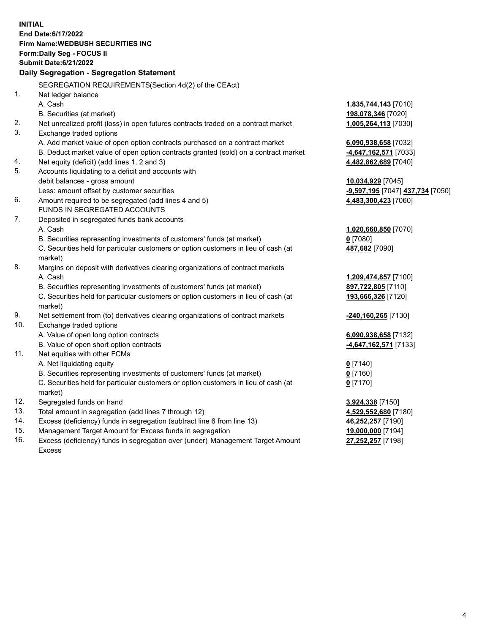|     | <b>INITIAL</b>                                                                                             |                                                            |
|-----|------------------------------------------------------------------------------------------------------------|------------------------------------------------------------|
|     | End Date: 6/17/2022                                                                                        |                                                            |
|     | Firm Name: WEDBUSH SECURITIES INC                                                                          |                                                            |
|     | Form: Daily Seg - FOCUS II                                                                                 |                                                            |
|     | <b>Submit Date:6/21/2022</b>                                                                               |                                                            |
|     | Daily Segregation - Segregation Statement                                                                  |                                                            |
|     | SEGREGATION REQUIREMENTS(Section 4d(2) of the CEAct)                                                       |                                                            |
| 1.  | Net ledger balance                                                                                         |                                                            |
|     | A. Cash                                                                                                    | 1,835,744,143 [7010]                                       |
|     | B. Securities (at market)                                                                                  | 198,078,346 [7020]                                         |
| 2.  | Net unrealized profit (loss) in open futures contracts traded on a contract market                         | 1,005,264,113 [7030]                                       |
| 3.  | Exchange traded options                                                                                    |                                                            |
|     | A. Add market value of open option contracts purchased on a contract market                                | 6,090,938,658 [7032]                                       |
|     | B. Deduct market value of open option contracts granted (sold) on a contract market                        | -4,647,162,571 [7033]                                      |
| 4.  | Net equity (deficit) (add lines 1, 2 and 3)                                                                | 4,482,862,689 [7040]                                       |
| 5.  | Accounts liquidating to a deficit and accounts with                                                        |                                                            |
|     | debit balances - gross amount                                                                              | 10,034,929 [7045]                                          |
|     | Less: amount offset by customer securities                                                                 | <mark>-9,597,195</mark> [7047] <mark>437,734</mark> [7050] |
| 6.  | Amount required to be segregated (add lines 4 and 5)                                                       | 4,483,300,423 [7060]                                       |
|     | FUNDS IN SEGREGATED ACCOUNTS                                                                               |                                                            |
| 7.  | Deposited in segregated funds bank accounts                                                                |                                                            |
|     | A. Cash                                                                                                    | 1,020,660,850 [7070]                                       |
|     | B. Securities representing investments of customers' funds (at market)                                     | $0$ [7080]                                                 |
|     | C. Securities held for particular customers or option customers in lieu of cash (at                        | 487,682 [7090]                                             |
|     | market)                                                                                                    |                                                            |
| 8.  | Margins on deposit with derivatives clearing organizations of contract markets                             |                                                            |
|     | A. Cash                                                                                                    | 1,209,474,857 [7100]                                       |
|     | B. Securities representing investments of customers' funds (at market)                                     | 897,722,805 [7110]                                         |
|     | C. Securities held for particular customers or option customers in lieu of cash (at                        | 193,666,326 [7120]                                         |
| 9.  | market)                                                                                                    |                                                            |
| 10. | Net settlement from (to) derivatives clearing organizations of contract markets<br>Exchange traded options | -240,160,265 [7130]                                        |
|     | A. Value of open long option contracts                                                                     |                                                            |
|     | B. Value of open short option contracts                                                                    | 6,090,938,658 [7132]                                       |
| 11. | Net equities with other FCMs                                                                               | 4,647,162,571 [7133]                                       |
|     | A. Net liquidating equity                                                                                  |                                                            |
|     | B. Securities representing investments of customers' funds (at market)                                     | $Q$ [7140]<br>0 [7160]                                     |
|     | C. Securities held for particular customers or option customers in lieu of cash (at                        | $0$ [7170]                                                 |
|     | market)                                                                                                    |                                                            |
| 12. | Segregated funds on hand                                                                                   | 3,924,338 [7150]                                           |
| 13. | Total amount in segregation (add lines 7 through 12)                                                       | 4,529,552,680 [7180]                                       |
| 14. | Excess (deficiency) funds in segregation (subtract line 6 from line 13)                                    | 46,252,257 [7190]                                          |
| 15. | Management Target Amount for Excess funds in segregation                                                   | 19,000,000 [7194]                                          |
| 16. | Excess (deficiency) funds in segregation over (under) Management Target Amount                             | 27,252,257 [7198]                                          |

16. Excess (deficiency) funds in segregation over (under) Management Target Amount Excess